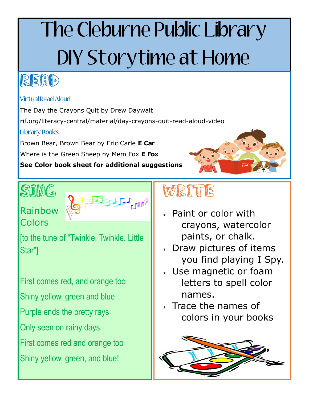# The Cleburne Public Library DIY Storytime at Home

## READ

#### Virtual Read Aloud:

The Day the Crayons Quit by Drew Daywalt rif.org/literacy-central/material/day-crayons-quit-read-aloud-video Library Books:

Brown Bear, Brown Bear by Eric Carle **E Car**

Where is the Green Sheep by Mem Fox **E Fox** 

**See Color book sheet for additional suggestions**

# SING



#### Rainbow **Colors**

[to the tune of "Twinkle, Twinkle, Little Star"]

First comes red, and orange too Shiny yellow, green and blue Purple ends the pretty rays Only seen on rainy days First comes red and orange too Shiny yellow, green, and blue!

# WRITE

- Paint or color with crayons, watercolor paints, or chalk.
- Draw pictures of items you find playing I Spy.
- Use magnetic or foam letters to spell color names.
- Trace the names of colors in your books

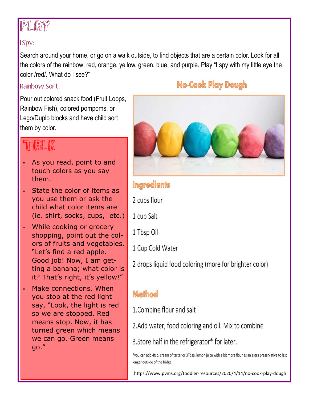### PLAY?

#### I Spy:

Search around your home, or go on a walk outside, to find objects that are a certain color. Look for all the colors of the rainbow: red, orange, yellow, green, blue, and purple. Play "I spy with my little eye the color /red/. What do I see?"

#### Rainbow Sort:

Pour out colored snack food (Fruit Loops, Rainbow Fish), colored pompoms, or Lego/Duplo blocks and have child sort them by color.

### TALK

- As you read, point to and touch colors as you say them.
- State the color of items as you use them or ask the child what color items are (ie. shirt, socks, cups, etc.)
- While cooking or grocery shopping, point out the colors of fruits and vegetables. "Let's find a red apple. Good job! Now, I am getting a banana; what color is it? That's right, it's yellow!"
- Make connections. When you stop at the red light say, "Look, the light is red so we are stopped. Red means stop. Now, it has turned green which means we can go. Green means go."

#### **No-Cook Play Dough**



#### **Ingredients**

2 cups flour

- 1 cup Salt
- 1 Tbsp Oil
- 1 Cup Cold Water

2 drops liquid food coloring (more for brighter color)

#### Method

1. Combine flour and salt

2.Add water, food coloring and oil. Mix to combine

3. Store half in the refrigerator\* for later.

\*you can add 4tsp. cream of tartar or 3Tbsp. lemon juice with a bit more flour as an extra preservative to last longer outside of the fridge

https://www.pvms.org/toddler-resources/2020/4/14/no-cook-play-dough